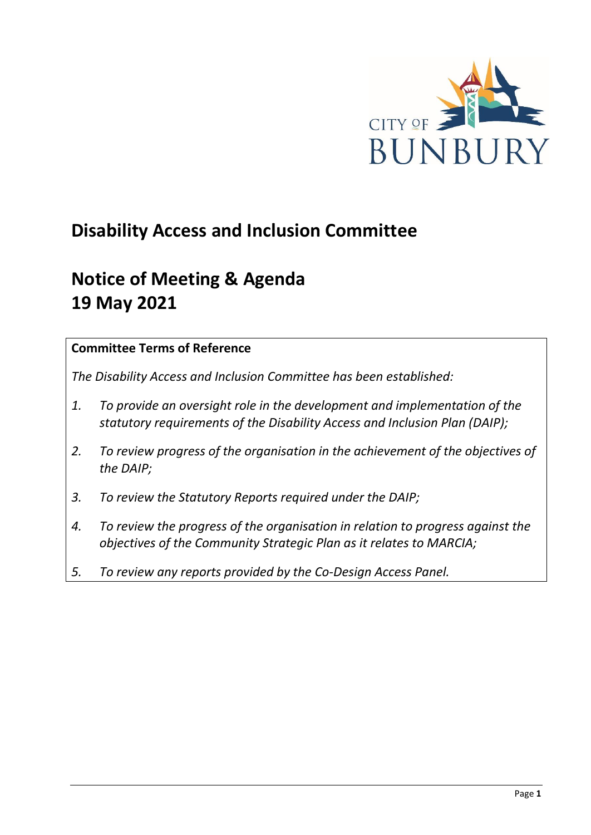

# **Disability Access and Inclusion Committee**

# **Notice of Meeting & Agenda 19 May 2021**

## **Committee Terms of Reference**

*The Disability Access and Inclusion Committee has been established:* 

- *1. To provide an oversight role in the development and implementation of the statutory requirements of the Disability Access and Inclusion Plan (DAIP);*
- *2. To review progress of the organisation in the achievement of the objectives of the DAIP;*
- *3. To review the Statutory Reports required under the DAIP;*
- *4. To review the progress of the organisation in relation to progress against the objectives of the Community Strategic Plan as it relates to MARCIA;*
- *5. To review any reports provided by the Co-Design Access Panel.*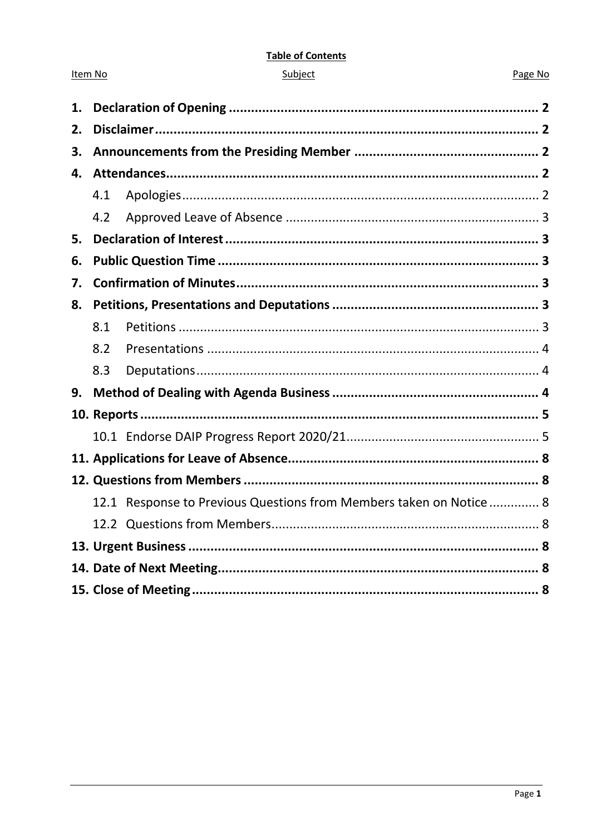#### **Table of Contents**

| ubie |  |
|------|--|
|      |  |
|      |  |

Item No

#### Page No

| 1. |     |                                                                     |  |
|----|-----|---------------------------------------------------------------------|--|
| 2. |     |                                                                     |  |
| 3. |     |                                                                     |  |
| 4. |     |                                                                     |  |
|    | 4.1 |                                                                     |  |
|    | 4.2 |                                                                     |  |
| 5. |     |                                                                     |  |
| 6. |     |                                                                     |  |
| 7. |     |                                                                     |  |
| 8. |     |                                                                     |  |
|    | 8.1 |                                                                     |  |
|    | 8.2 |                                                                     |  |
|    | 8.3 |                                                                     |  |
| 9. |     |                                                                     |  |
|    |     |                                                                     |  |
|    |     |                                                                     |  |
|    |     |                                                                     |  |
|    |     |                                                                     |  |
|    |     | 12.1 Response to Previous Questions from Members taken on Notice  8 |  |
|    |     |                                                                     |  |
|    |     |                                                                     |  |
|    |     |                                                                     |  |
|    |     |                                                                     |  |
|    |     |                                                                     |  |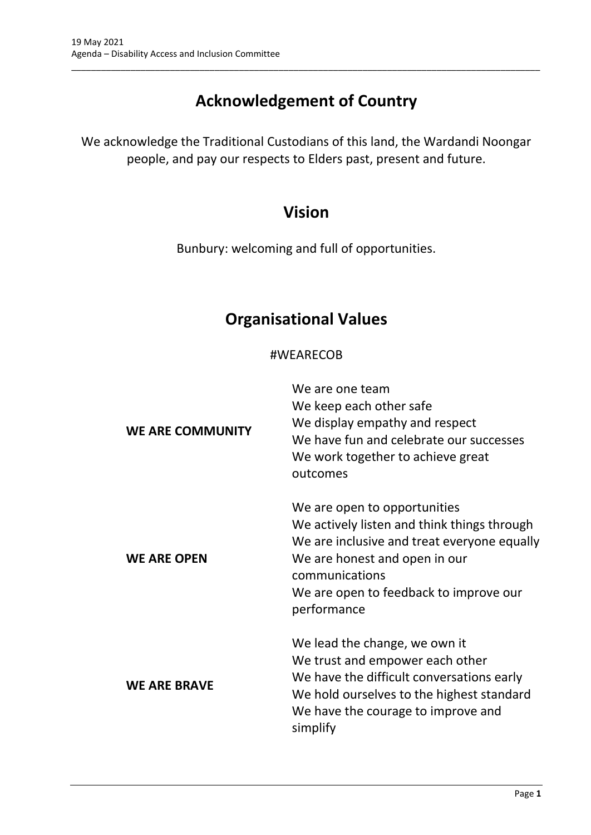# **Acknowledgement of Country**

\_\_\_\_\_\_\_\_\_\_\_\_\_\_\_\_\_\_\_\_\_\_\_\_\_\_\_\_\_\_\_\_\_\_\_\_\_\_\_\_\_\_\_\_\_\_\_\_\_\_\_\_\_\_\_\_\_\_\_\_\_\_\_\_\_\_\_\_\_\_\_\_\_\_\_\_\_\_\_\_\_\_\_\_\_\_\_\_\_\_\_\_\_\_\_

We acknowledge the Traditional Custodians of this land, the Wardandi Noongar people, and pay our respects to Elders past, present and future.

## **Vision**

Bunbury: welcoming and full of opportunities.

## **Organisational Values**

## #WEARECOB

| <b>WE ARE COMMUNITY</b> | We are one team<br>We keep each other safe<br>We display empathy and respect<br>We have fun and celebrate our successes<br>We work together to achieve great<br>outcomes                                                               |
|-------------------------|----------------------------------------------------------------------------------------------------------------------------------------------------------------------------------------------------------------------------------------|
| <b>WE ARE OPEN</b>      | We are open to opportunities<br>We actively listen and think things through<br>We are inclusive and treat everyone equally<br>We are honest and open in our<br>communications<br>We are open to feedback to improve our<br>performance |
| <b>WE ARE BRAVE</b>     | We lead the change, we own it<br>We trust and empower each other<br>We have the difficult conversations early<br>We hold ourselves to the highest standard<br>We have the courage to improve and<br>simplify                           |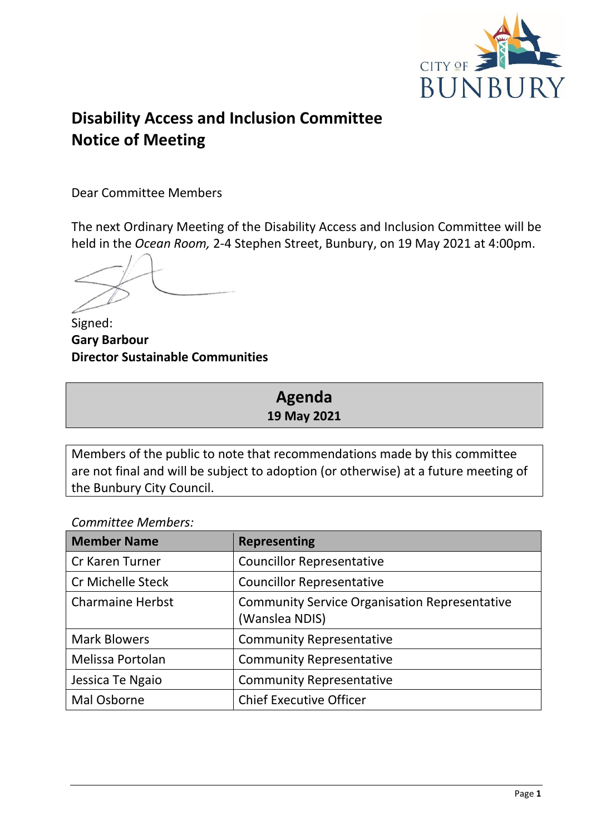

# **Disability Access and Inclusion Committee Notice of Meeting**

Dear Committee Members

The next Ordinary Meeting of the Disability Access and Inclusion Committee will be held in the *Ocean Room,* 2-4 Stephen Street, Bunbury, on 19 May 2021 at 4:00pm.

Signed: **Gary Barbour Director Sustainable Communities**

## **Agenda 19 May 2021**

Members of the public to note that recommendations made by this committee are not final and will be subject to adoption (or otherwise) at a future meeting of the Bunbury City Council.

*Committee Members:*

| <b>Member Name</b>       | <b>Representing</b>                                                    |
|--------------------------|------------------------------------------------------------------------|
| Cr Karen Turner          | <b>Councillor Representative</b>                                       |
| <b>Cr Michelle Steck</b> | <b>Councillor Representative</b>                                       |
| <b>Charmaine Herbst</b>  | <b>Community Service Organisation Representative</b><br>(Wanslea NDIS) |
| <b>Mark Blowers</b>      | <b>Community Representative</b>                                        |
| Melissa Portolan         | <b>Community Representative</b>                                        |
| Jessica Te Ngaio         | <b>Community Representative</b>                                        |
| Mal Osborne              | <b>Chief Executive Officer</b>                                         |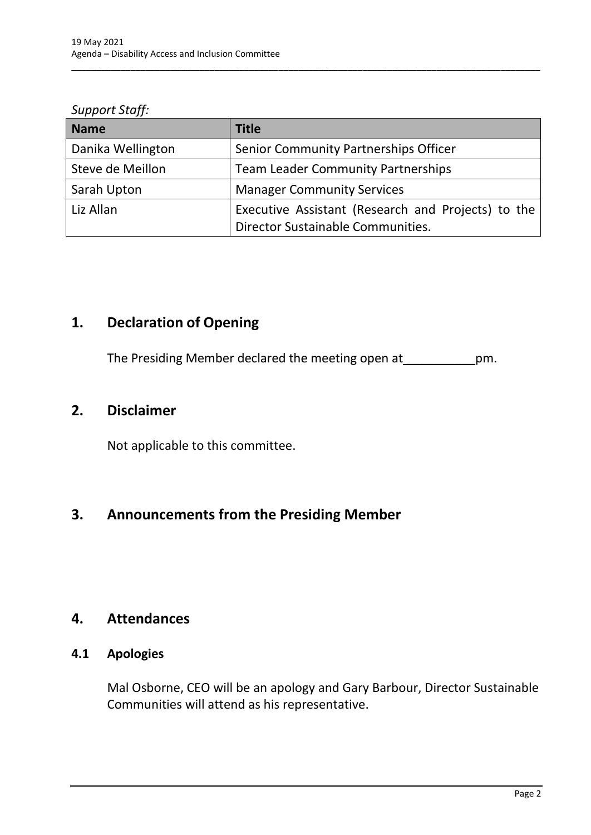*Support Staff:*

| <b>Name</b>       | <b>Title</b>                                                                            |
|-------------------|-----------------------------------------------------------------------------------------|
| Danika Wellington | Senior Community Partnerships Officer                                                   |
| Steve de Meillon  | <b>Team Leader Community Partnerships</b>                                               |
| Sarah Upton       | <b>Manager Community Services</b>                                                       |
| Liz Allan         | Executive Assistant (Research and Projects) to the<br>Director Sustainable Communities. |

\_\_\_\_\_\_\_\_\_\_\_\_\_\_\_\_\_\_\_\_\_\_\_\_\_\_\_\_\_\_\_\_\_\_\_\_\_\_\_\_\_\_\_\_\_\_\_\_\_\_\_\_\_\_\_\_\_\_\_\_\_\_\_\_\_\_\_\_\_\_\_\_\_\_\_\_\_\_\_\_\_\_\_\_\_\_\_\_\_\_\_\_\_\_\_

## <span id="page-4-0"></span>**1. Declaration of Opening**

The Presiding Member declared the meeting open at \_\_\_\_\_\_\_\_\_\_\_\_\_pm.

## <span id="page-4-1"></span>**2. Disclaimer**

Not applicable to this committee.

## <span id="page-4-2"></span>**3. Announcements from the Presiding Member**

## <span id="page-4-3"></span>**4. Attendances**

### <span id="page-4-4"></span>**4.1 Apologies**

Mal Osborne, CEO will be an apology and Gary Barbour, Director Sustainable Communities will attend as his representative.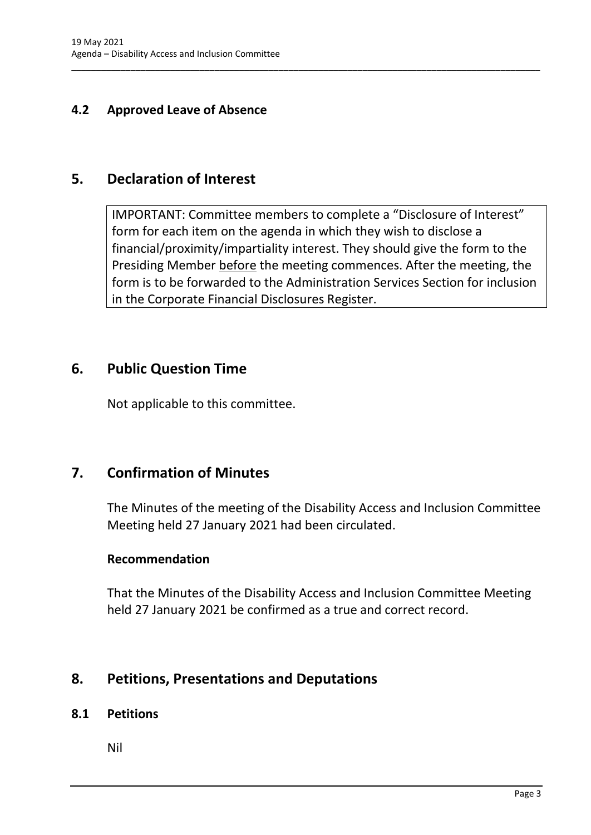## <span id="page-5-0"></span>**4.2 Approved Leave of Absence**

## <span id="page-5-1"></span>**5. Declaration of Interest**

IMPORTANT: Committee members to complete a "Disclosure of Interest" form for each item on the agenda in which they wish to disclose a financial/proximity/impartiality interest. They should give the form to the Presiding Member before the meeting commences. After the meeting, the form is to be forwarded to the Administration Services Section for inclusion in the Corporate Financial Disclosures Register.

\_\_\_\_\_\_\_\_\_\_\_\_\_\_\_\_\_\_\_\_\_\_\_\_\_\_\_\_\_\_\_\_\_\_\_\_\_\_\_\_\_\_\_\_\_\_\_\_\_\_\_\_\_\_\_\_\_\_\_\_\_\_\_\_\_\_\_\_\_\_\_\_\_\_\_\_\_\_\_\_\_\_\_\_\_\_\_\_\_\_\_\_\_\_\_

## <span id="page-5-2"></span>**6. Public Question Time**

Not applicable to this committee.

## <span id="page-5-3"></span>**7. Confirmation of Minutes**

The Minutes of the meeting of the Disability Access and Inclusion Committee Meeting held 27 January 2021 had been circulated.

#### **Recommendation**

That the Minutes of the Disability Access and Inclusion Committee Meeting held 27 January 2021 be confirmed as a true and correct record.

## <span id="page-5-4"></span>**8. Petitions, Presentations and Deputations**

#### <span id="page-5-5"></span>**8.1 Petitions**

Nil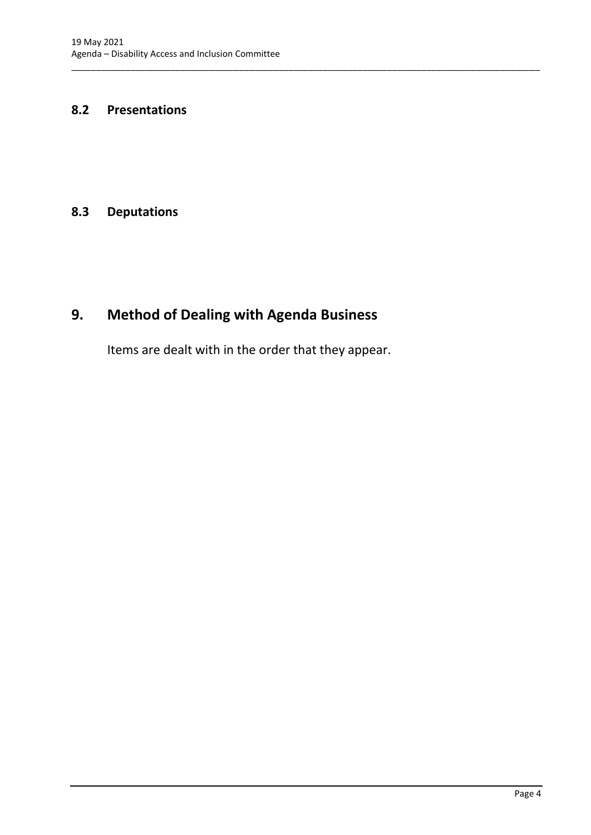#### <span id="page-6-0"></span>**8.2 Presentations**

#### <span id="page-6-1"></span>**8.3 Deputations**

# <span id="page-6-2"></span>**9. Method of Dealing with Agenda Business**

Items are dealt with in the order that they appear.

\_\_\_\_\_\_\_\_\_\_\_\_\_\_\_\_\_\_\_\_\_\_\_\_\_\_\_\_\_\_\_\_\_\_\_\_\_\_\_\_\_\_\_\_\_\_\_\_\_\_\_\_\_\_\_\_\_\_\_\_\_\_\_\_\_\_\_\_\_\_\_\_\_\_\_\_\_\_\_\_\_\_\_\_\_\_\_\_\_\_\_\_\_\_\_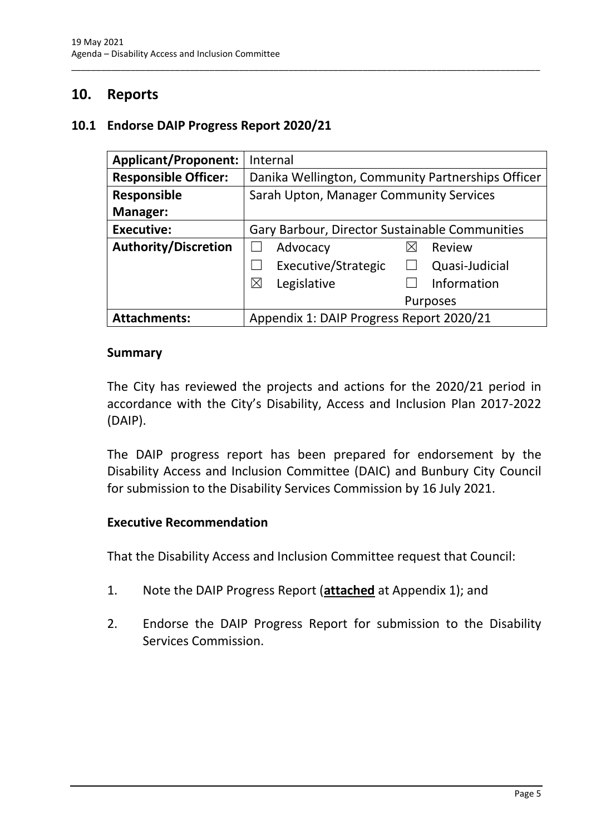## <span id="page-7-0"></span>**10. Reports**

#### <span id="page-7-1"></span>**10.1 Endorse DAIP Progress Report 2020/21**

| <b>Applicant/Proponent:</b> | Internal                                          |  |
|-----------------------------|---------------------------------------------------|--|
| <b>Responsible Officer:</b> | Danika Wellington, Community Partnerships Officer |  |
| <b>Responsible</b>          | Sarah Upton, Manager Community Services           |  |
| Manager:                    |                                                   |  |
| <b>Executive:</b>           | Gary Barbour, Director Sustainable Communities    |  |
| <b>Authority/Discretion</b> | Advocacy<br>Review<br>IХ                          |  |
|                             | Executive/Strategic<br>Quasi-Judicial             |  |
|                             | Legislative<br>Information<br>$\boxtimes$         |  |
|                             | <b>Purposes</b>                                   |  |
| <b>Attachments:</b>         | Appendix 1: DAIP Progress Report 2020/21          |  |

\_\_\_\_\_\_\_\_\_\_\_\_\_\_\_\_\_\_\_\_\_\_\_\_\_\_\_\_\_\_\_\_\_\_\_\_\_\_\_\_\_\_\_\_\_\_\_\_\_\_\_\_\_\_\_\_\_\_\_\_\_\_\_\_\_\_\_\_\_\_\_\_\_\_\_\_\_\_\_\_\_\_\_\_\_\_\_\_\_\_\_\_\_\_\_

#### **Summary**

The City has reviewed the projects and actions for the 2020/21 period in accordance with the City's Disability, Access and Inclusion Plan 2017-2022 (DAIP).

The DAIP progress report has been prepared for endorsement by the Disability Access and Inclusion Committee (DAIC) and Bunbury City Council for submission to the Disability Services Commission by 16 July 2021.

#### **Executive Recommendation**

That the Disability Access and Inclusion Committee request that Council:

- 1. Note the DAIP Progress Report (**attached** at Appendix 1); and
- 2. Endorse the DAIP Progress Report for submission to the Disability Services Commission.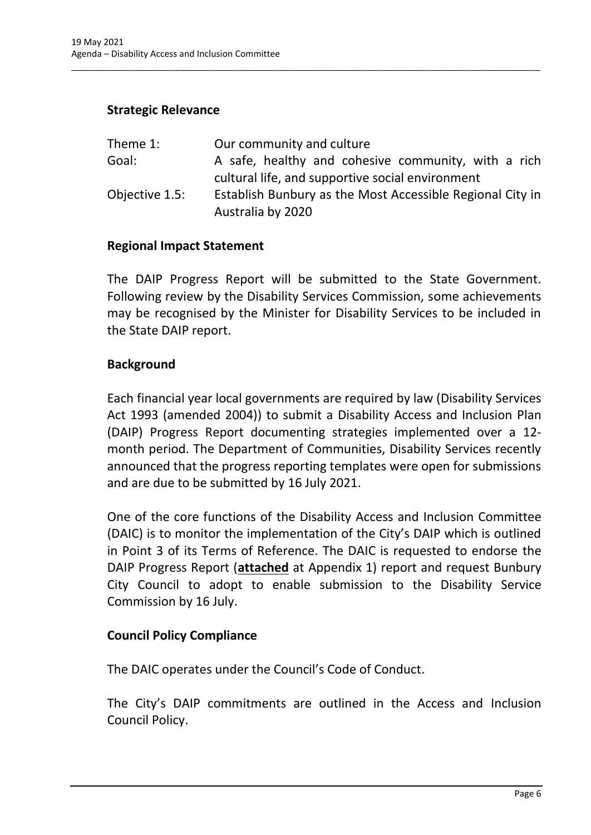### **Strategic Relevance**

| Theme 1:       | Our community and culture                                 |
|----------------|-----------------------------------------------------------|
| Goal:          | A safe, healthy and cohesive community, with a rich       |
|                | cultural life, and supportive social environment          |
| Objective 1.5: | Establish Bunbury as the Most Accessible Regional City in |
|                | Australia by 2020                                         |

\_\_\_\_\_\_\_\_\_\_\_\_\_\_\_\_\_\_\_\_\_\_\_\_\_\_\_\_\_\_\_\_\_\_\_\_\_\_\_\_\_\_\_\_\_\_\_\_\_\_\_\_\_\_\_\_\_\_\_\_\_\_\_\_\_\_\_\_\_\_\_\_\_\_\_\_\_\_\_\_\_\_\_\_\_\_\_\_\_\_\_\_\_\_\_

#### **Regional Impact Statement**

The DAIP Progress Report will be submitted to the State Government. Following review by the Disability Services Commission, some achievements may be recognised by the Minister for Disability Services to be included in the State DAIP report.

#### **Background**

Each financial year local governments are required by law (Disability Services Act 1993 (amended 2004)) to submit a Disability Access and Inclusion Plan (DAIP) Progress Report documenting strategies implemented over a 12 month period. The Department of Communities, Disability Services recently announced that the progress reporting templates were open for submissions and are due to be submitted by 16 July 2021.

One of the core functions of the Disability Access and Inclusion Committee (DAIC) is to monitor the implementation of the City's DAIP which is outlined in Point 3 of its Terms of Reference. The DAIC is requested to endorse the DAIP Progress Report (**attached** at Appendix 1) report and request Bunbury City Council to adopt to enable submission to the Disability Service Commission by 16 July.

#### **Council Policy Compliance**

The DAIC operates under the Council's Code of Conduct.

The City's DAIP commitments are outlined in the Access and Inclusion Council Policy.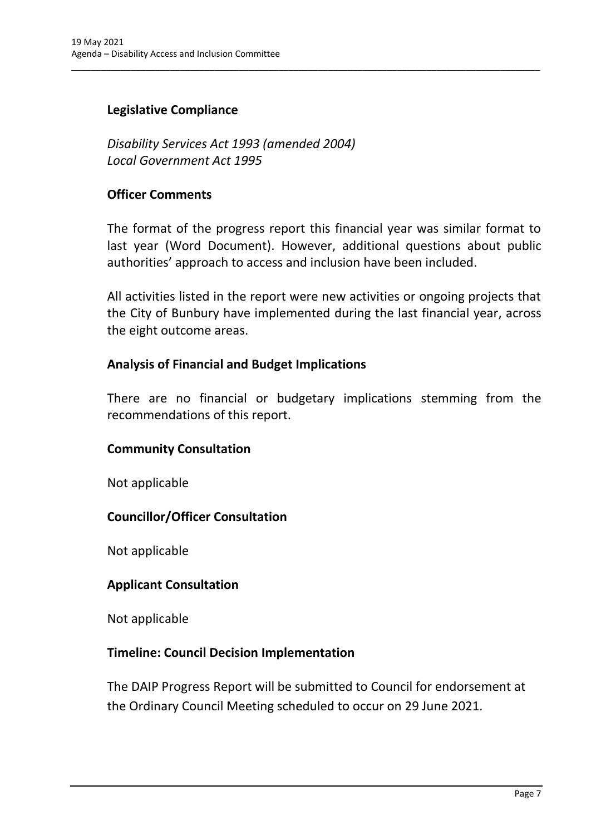## **Legislative Compliance**

*Disability Services Act 1993 (amended 2004) Local Government Act 1995*

#### **Officer Comments**

The format of the progress report this financial year was similar format to last year (Word Document). However, additional questions about public authorities' approach to access and inclusion have been included.

\_\_\_\_\_\_\_\_\_\_\_\_\_\_\_\_\_\_\_\_\_\_\_\_\_\_\_\_\_\_\_\_\_\_\_\_\_\_\_\_\_\_\_\_\_\_\_\_\_\_\_\_\_\_\_\_\_\_\_\_\_\_\_\_\_\_\_\_\_\_\_\_\_\_\_\_\_\_\_\_\_\_\_\_\_\_\_\_\_\_\_\_\_\_\_

All activities listed in the report were new activities or ongoing projects that the City of Bunbury have implemented during the last financial year, across the eight outcome areas.

### **Analysis of Financial and Budget Implications**

There are no financial or budgetary implications stemming from the recommendations of this report.

#### **Community Consultation**

Not applicable

### **Councillor/Officer Consultation**

Not applicable

#### **Applicant Consultation**

Not applicable

#### **Timeline: Council Decision Implementation**

The DAIP Progress Report will be submitted to Council for endorsement at the Ordinary Council Meeting scheduled to occur on 29 June 2021.